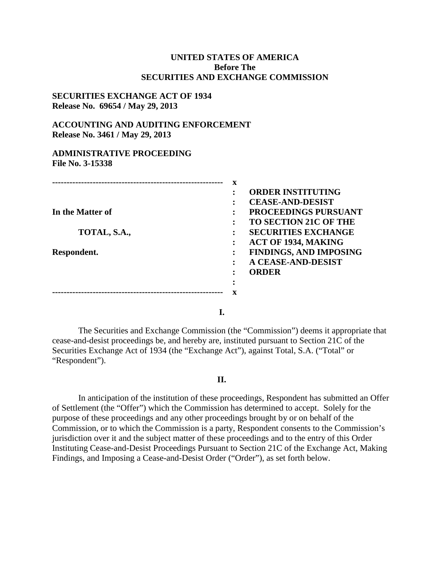## **UNITED STATES OF AMERICA Before The SECURITIES AND EXCHANGE COMMISSION**

### **SECURITIES EXCHANGE ACT OF 1934 Release No. 69654 / May 29, 2013**

## **ACCOUNTING AND AUDITING ENFORCEMENT Release No. 3461 / May 29, 2013**

#### **ADMINISTRATIVE PROCEEDING File No. 3-15338**

|                  | X |                               |
|------------------|---|-------------------------------|
|                  | ٠ | <b>ORDER INSTITUTING</b>      |
|                  |   | <b>CEASE-AND-DESIST</b>       |
| In the Matter of |   | <b>PROCEEDINGS PURSUANT</b>   |
|                  | ٠ | <b>TO SECTION 21C OF THE</b>  |
| TOTAL, S.A.,     |   | <b>SECURITIES EXCHANGE</b>    |
|                  |   | ACT OF 1934, MAKING           |
| Respondent.      |   | <b>FINDINGS, AND IMPOSING</b> |
|                  | ٠ | <b>A CEASE-AND-DESIST</b>     |
|                  |   | <b>ORDER</b>                  |
|                  |   |                               |
|                  |   |                               |

**I.**

The Securities and Exchange Commission (the "Commission") deems it appropriate that cease-and-desist proceedings be, and hereby are, instituted pursuant to Section 21C of the Securities Exchange Act of 1934 (the "Exchange Act"), against Total, S.A. ("Total" or "Respondent").

#### **II.**

In anticipation of the institution of these proceedings, Respondent has submitted an Offer of Settlement (the "Offer") which the Commission has determined to accept. Solely for the purpose of these proceedings and any other proceedings brought by or on behalf of the Commission, or to which the Commission is a party, Respondent consents to the Commission's jurisdiction over it and the subject matter of these proceedings and to the entry of this Order Instituting Cease-and-Desist Proceedings Pursuant to Section 21C of the Exchange Act, Making Findings, and Imposing a Cease-and-Desist Order ("Order"), as set forth below.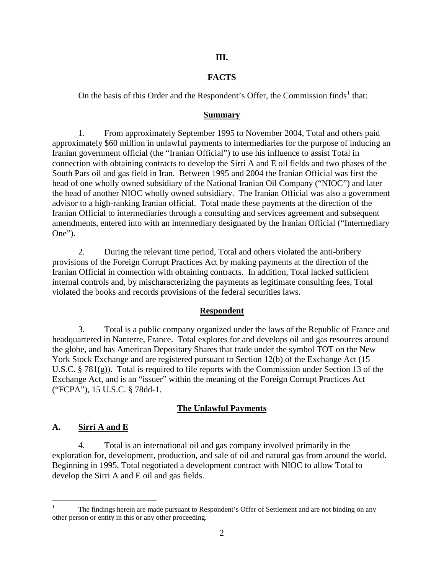## **III.**

## **FACTS**

On the basis of this Order and the Respondent's Offer, the Commission finds<sup>1</sup> that:

#### **Summary**

1. From approximately September 1995 to November 2004, Total and others paid approximately \$60 million in unlawful payments to intermediaries for the purpose of inducing an Iranian government official (the "Iranian Official") to use his influence to assist Total in connection with obtaining contracts to develop the Sirri A and E oil fields and two phases of the South Pars oil and gas field in Iran. Between 1995 and 2004 the Iranian Official was first the head of one wholly owned subsidiary of the National Iranian Oil Company ("NIOC") and later the head of another NIOC wholly owned subsidiary. The Iranian Official was also a government advisor to a high-ranking Iranian official. Total made these payments at the direction of the Iranian Official to intermediaries through a consulting and services agreement and subsequent amendments, entered into with an intermediary designated by the Iranian Official ("Intermediary One").

2. During the relevant time period, Total and others violated the anti-bribery provisions of the Foreign Corrupt Practices Act by making payments at the direction of the Iranian Official in connection with obtaining contracts. In addition, Total lacked sufficient internal controls and, by mischaracterizing the payments as legitimate consulting fees, Total violated the books and records provisions of the federal securities laws.

#### **Respondent**

3. Total is a public company organized under the laws of the Republic of France and headquartered in Nanterre, France. Total explores for and develops oil and gas resources around the globe, and has American Depositary Shares that trade under the symbol TOT on the New York Stock Exchange and are registered pursuant to Section 12(b) of the Exchange Act (15 U.S.C. § 781(g)). Total is required to file reports with the Commission under Section 13 of the Exchange Act, and is an "issuer" within the meaning of the Foreign Corrupt Practices Act ("FCPA"), 15 U.S.C. § 78dd-1.

## **The Unlawful Payments**

## **A. Sirri A and E**

4. Total is an international oil and gas company involved primarily in the exploration for, development, production, and sale of oil and natural gas from around the world. Beginning in 1995, Total negotiated a development contract with NIOC to allow Total to develop the Sirri A and E oil and gas fields.

<sup>&</sup>lt;sup>1</sup> The findings herein are made pursuant to Respondent's Offer of Settlement and are not binding on any other person or entity in this or any other proceeding.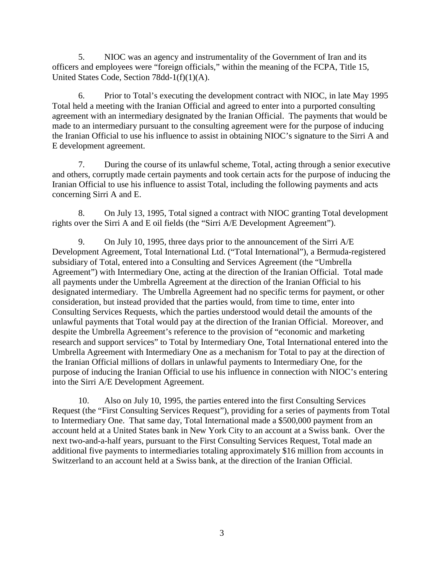5. NIOC was an agency and instrumentality of the Government of Iran and its officers and employees were "foreign officials," within the meaning of the FCPA, Title 15, United States Code, Section 78dd-1(f)(1)(A).

6. Prior to Total's executing the development contract with NIOC, in late May 1995 Total held a meeting with the Iranian Official and agreed to enter into a purported consulting agreement with an intermediary designated by the Iranian Official. The payments that would be made to an intermediary pursuant to the consulting agreement were for the purpose of inducing the Iranian Official to use his influence to assist in obtaining NIOC's signature to the Sirri A and E development agreement.

7. During the course of its unlawful scheme, Total, acting through a senior executive and others, corruptly made certain payments and took certain acts for the purpose of inducing the Iranian Official to use his influence to assist Total, including the following payments and acts concerning Sirri A and E.

8. On July 13, 1995, Total signed a contract with NIOC granting Total development rights over the Sirri A and E oil fields (the "Sirri A/E Development Agreement").

9. On July 10, 1995, three days prior to the announcement of the Sirri A/E Development Agreement, Total International Ltd. ("Total International"), a Bermuda-registered subsidiary of Total, entered into a Consulting and Services Agreement (the "Umbrella Agreement") with Intermediary One, acting at the direction of the Iranian Official. Total made all payments under the Umbrella Agreement at the direction of the Iranian Official to his designated intermediary. The Umbrella Agreement had no specific terms for payment, or other consideration, but instead provided that the parties would, from time to time, enter into Consulting Services Requests, which the parties understood would detail the amounts of the unlawful payments that Total would pay at the direction of the Iranian Official. Moreover, and despite the Umbrella Agreement's reference to the provision of "economic and marketing research and support services" to Total by Intermediary One, Total International entered into the Umbrella Agreement with Intermediary One as a mechanism for Total to pay at the direction of the Iranian Official millions of dollars in unlawful payments to Intermediary One, for the purpose of inducing the Iranian Official to use his influence in connection with NIOC's entering into the Sirri A/E Development Agreement.

10. Also on July 10, 1995, the parties entered into the first Consulting Services Request (the "First Consulting Services Request"), providing for a series of payments from Total to Intermediary One. That same day, Total International made a \$500,000 payment from an account held at a United States bank in New York City to an account at a Swiss bank. Over the next two-and-a-half years, pursuant to the First Consulting Services Request, Total made an additional five payments to intermediaries totaling approximately \$16 million from accounts in Switzerland to an account held at a Swiss bank, at the direction of the Iranian Official.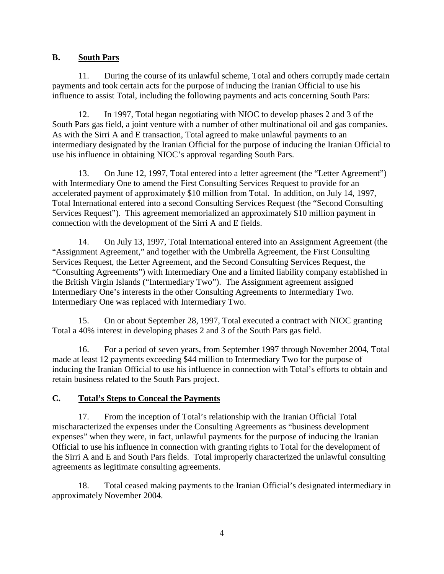# **B. South Pars**

11. During the course of its unlawful scheme, Total and others corruptly made certain payments and took certain acts for the purpose of inducing the Iranian Official to use his influence to assist Total, including the following payments and acts concerning South Pars:

12. In 1997, Total began negotiating with NIOC to develop phases 2 and 3 of the South Pars gas field, a joint venture with a number of other multinational oil and gas companies. As with the Sirri A and E transaction, Total agreed to make unlawful payments to an intermediary designated by the Iranian Official for the purpose of inducing the Iranian Official to use his influence in obtaining NIOC's approval regarding South Pars.

13. On June 12, 1997, Total entered into a letter agreement (the "Letter Agreement") with Intermediary One to amend the First Consulting Services Request to provide for an accelerated payment of approximately \$10 million from Total. In addition, on July 14, 1997, Total International entered into a second Consulting Services Request (the "Second Consulting Services Request"). This agreement memorialized an approximately \$10 million payment in connection with the development of the Sirri A and E fields.

14. On July 13, 1997, Total International entered into an Assignment Agreement (the "Assignment Agreement," and together with the Umbrella Agreement, the First Consulting Services Request, the Letter Agreement, and the Second Consulting Services Request, the "Consulting Agreements") with Intermediary One and a limited liability company established in the British Virgin Islands ("Intermediary Two"). The Assignment agreement assigned Intermediary One's interests in the other Consulting Agreements to Intermediary Two. Intermediary One was replaced with Intermediary Two.

15. On or about September 28, 1997, Total executed a contract with NIOC granting Total a 40% interest in developing phases 2 and 3 of the South Pars gas field.

16. For a period of seven years, from September 1997 through November 2004, Total made at least 12 payments exceeding \$44 million to Intermediary Two for the purpose of inducing the Iranian Official to use his influence in connection with Total's efforts to obtain and retain business related to the South Pars project.

# **C. Total's Steps to Conceal the Payments**

17. From the inception of Total's relationship with the Iranian Official Total mischaracterized the expenses under the Consulting Agreements as "business development expenses" when they were, in fact, unlawful payments for the purpose of inducing the Iranian Official to use his influence in connection with granting rights to Total for the development of the Sirri A and E and South Pars fields. Total improperly characterized the unlawful consulting agreements as legitimate consulting agreements.

18. Total ceased making payments to the Iranian Official's designated intermediary in approximately November 2004.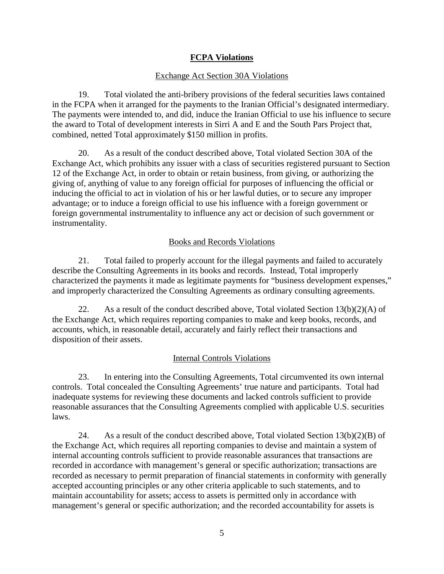# **FCPA Violations**

#### Exchange Act Section 30A Violations

19. Total violated the anti-bribery provisions of the federal securities laws contained in the FCPA when it arranged for the payments to the Iranian Official's designated intermediary. The payments were intended to, and did, induce the Iranian Official to use his influence to secure the award to Total of development interests in Sirri A and E and the South Pars Project that, combined, netted Total approximately \$150 million in profits.

20. As a result of the conduct described above, Total violated Section 30A of the Exchange Act, which prohibits any issuer with a class of securities registered pursuant to Section 12 of the Exchange Act, in order to obtain or retain business, from giving, or authorizing the giving of, anything of value to any foreign official for purposes of influencing the official or inducing the official to act in violation of his or her lawful duties, or to secure any improper advantage; or to induce a foreign official to use his influence with a foreign government or foreign governmental instrumentality to influence any act or decision of such government or instrumentality.

#### Books and Records Violations

21. Total failed to properly account for the illegal payments and failed to accurately describe the Consulting Agreements in its books and records. Instead, Total improperly characterized the payments it made as legitimate payments for "business development expenses," and improperly characterized the Consulting Agreements as ordinary consulting agreements.

22. As a result of the conduct described above, Total violated Section  $13(b)(2)(A)$  of the Exchange Act, which requires reporting companies to make and keep books, records, and accounts, which, in reasonable detail, accurately and fairly reflect their transactions and disposition of their assets.

#### Internal Controls Violations

23. In entering into the Consulting Agreements, Total circumvented its own internal controls. Total concealed the Consulting Agreements' true nature and participants. Total had inadequate systems for reviewing these documents and lacked controls sufficient to provide reasonable assurances that the Consulting Agreements complied with applicable U.S. securities laws.

24. As a result of the conduct described above, Total violated Section 13(b)(2)(B) of the Exchange Act, which requires all reporting companies to devise and maintain a system of internal accounting controls sufficient to provide reasonable assurances that transactions are recorded in accordance with management's general or specific authorization; transactions are recorded as necessary to permit preparation of financial statements in conformity with generally accepted accounting principles or any other criteria applicable to such statements, and to maintain accountability for assets; access to assets is permitted only in accordance with management's general or specific authorization; and the recorded accountability for assets is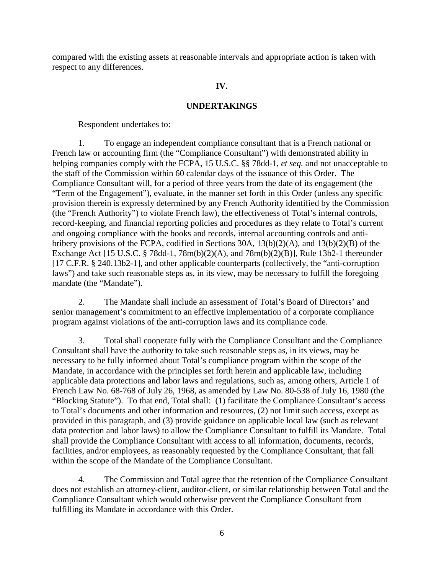compared with the existing assets at reasonable intervals and appropriate action is taken with respect to any differences.

## **IV.**

## **UNDERTAKINGS**

Respondent undertakes to:

1. To engage an independent compliance consultant that is a French national or French law or accounting firm (the "Compliance Consultant") with demonstrated ability in helping companies comply with the FCPA, 15 U.S.C. §§ 78dd-1, *et seq.* and not unacceptable to the staff of the Commission within 60 calendar days of the issuance of this Order. The Compliance Consultant will, for a period of three years from the date of its engagement (the "Term of the Engagement"), evaluate, in the manner set forth in this Order (unless any specific provision therein is expressly determined by any French Authority identified by the Commission (the "French Authority") to violate French law), the effectiveness of Total's internal controls, record-keeping, and financial reporting policies and procedures as they relate to Total's current and ongoing compliance with the books and records, internal accounting controls and antibribery provisions of the FCPA, codified in Sections 30A, 13(b)(2)(A), and 13(b)(2)(B) of the Exchange Act [15 U.S.C. § 78dd-1, 78m(b)(2)(A), and 78m(b)(2)(B)], Rule 13b2-1 thereunder [17 C.F.R. § 240.13b2-1], and other applicable counterparts (collectively, the "anti-corruption laws") and take such reasonable steps as, in its view, may be necessary to fulfill the foregoing mandate (the "Mandate").

2. The Mandate shall include an assessment of Total's Board of Directors' and senior management's commitment to an effective implementation of a corporate compliance program against violations of the anti-corruption laws and its compliance code.

3. Total shall cooperate fully with the Compliance Consultant and the Compliance Consultant shall have the authority to take such reasonable steps as, in its views, may be necessary to be fully informed about Total's compliance program within the scope of the Mandate, in accordance with the principles set forth herein and applicable law, including applicable data protections and labor laws and regulations, such as, among others, Article 1 of French Law No. 68-768 of July 26, 1968, as amended by Law No. 80-538 of July 16, 1980 (the "Blocking Statute"). To that end, Total shall: (1) facilitate the Compliance Consultant's access to Total's documents and other information and resources, (2) not limit such access, except as provided in this paragraph, and (3) provide guidance on applicable local law (such as relevant data protection and labor laws) to allow the Compliance Consultant to fulfill its Mandate. Total shall provide the Compliance Consultant with access to all information, documents, records, facilities, and/or employees, as reasonably requested by the Compliance Consultant, that fall within the scope of the Mandate of the Compliance Consultant.

4. The Commission and Total agree that the retention of the Compliance Consultant does not establish an attorney-client, auditor-client, or similar relationship between Total and the Compliance Consultant which would otherwise prevent the Compliance Consultant from fulfilling its Mandate in accordance with this Order.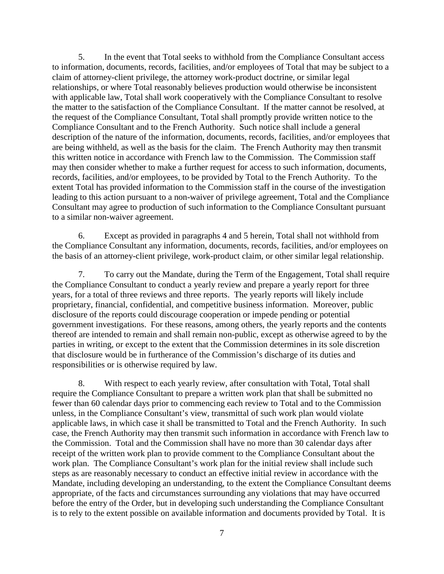5. In the event that Total seeks to withhold from the Compliance Consultant access to information, documents, records, facilities, and/or employees of Total that may be subject to a claim of attorney-client privilege, the attorney work-product doctrine, or similar legal relationships, or where Total reasonably believes production would otherwise be inconsistent with applicable law, Total shall work cooperatively with the Compliance Consultant to resolve the matter to the satisfaction of the Compliance Consultant. If the matter cannot be resolved, at the request of the Compliance Consultant, Total shall promptly provide written notice to the Compliance Consultant and to the French Authority. Such notice shall include a general description of the nature of the information, documents, records, facilities, and/or employees that are being withheld, as well as the basis for the claim. The French Authority may then transmit this written notice in accordance with French law to the Commission. The Commission staff may then consider whether to make a further request for access to such information, documents, records, facilities, and/or employees, to be provided by Total to the French Authority. To the extent Total has provided information to the Commission staff in the course of the investigation leading to this action pursuant to a non-waiver of privilege agreement, Total and the Compliance Consultant may agree to production of such information to the Compliance Consultant pursuant to a similar non-waiver agreement.

6. Except as provided in paragraphs 4 and 5 herein, Total shall not withhold from the Compliance Consultant any information, documents, records, facilities, and/or employees on the basis of an attorney-client privilege, work-product claim, or other similar legal relationship.

7. To carry out the Mandate, during the Term of the Engagement, Total shall require the Compliance Consultant to conduct a yearly review and prepare a yearly report for three years, for a total of three reviews and three reports. The yearly reports will likely include proprietary, financial, confidential, and competitive business information. Moreover, public disclosure of the reports could discourage cooperation or impede pending or potential government investigations. For these reasons, among others, the yearly reports and the contents thereof are intended to remain and shall remain non-public, except as otherwise agreed to by the parties in writing, or except to the extent that the Commission determines in its sole discretion that disclosure would be in furtherance of the Commission's discharge of its duties and responsibilities or is otherwise required by law.

8. With respect to each yearly review, after consultation with Total, Total shall require the Compliance Consultant to prepare a written work plan that shall be submitted no fewer than 60 calendar days prior to commencing each review to Total and to the Commission unless, in the Compliance Consultant's view, transmittal of such work plan would violate applicable laws, in which case it shall be transmitted to Total and the French Authority. In such case, the French Authority may then transmit such information in accordance with French law to the Commission. Total and the Commission shall have no more than 30 calendar days after receipt of the written work plan to provide comment to the Compliance Consultant about the work plan. The Compliance Consultant's work plan for the initial review shall include such steps as are reasonably necessary to conduct an effective initial review in accordance with the Mandate, including developing an understanding, to the extent the Compliance Consultant deems appropriate, of the facts and circumstances surrounding any violations that may have occurred before the entry of the Order, but in developing such understanding the Compliance Consultant is to rely to the extent possible on available information and documents provided by Total. It is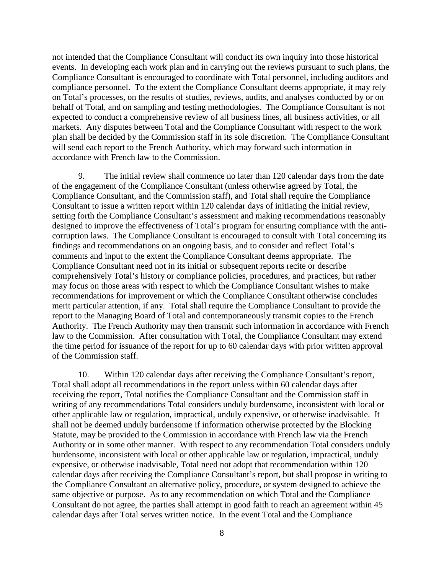not intended that the Compliance Consultant will conduct its own inquiry into those historical events. In developing each work plan and in carrying out the reviews pursuant to such plans, the Compliance Consultant is encouraged to coordinate with Total personnel, including auditors and compliance personnel. To the extent the Compliance Consultant deems appropriate, it may rely on Total's processes, on the results of studies, reviews, audits, and analyses conducted by or on behalf of Total, and on sampling and testing methodologies. The Compliance Consultant is not expected to conduct a comprehensive review of all business lines, all business activities, or all markets. Any disputes between Total and the Compliance Consultant with respect to the work plan shall be decided by the Commission staff in its sole discretion. The Compliance Consultant will send each report to the French Authority, which may forward such information in accordance with French law to the Commission.

9. The initial review shall commence no later than 120 calendar days from the date of the engagement of the Compliance Consultant (unless otherwise agreed by Total, the Compliance Consultant, and the Commission staff), and Total shall require the Compliance Consultant to issue a written report within 120 calendar days of initiating the initial review, setting forth the Compliance Consultant's assessment and making recommendations reasonably designed to improve the effectiveness of Total's program for ensuring compliance with the anticorruption laws. The Compliance Consultant is encouraged to consult with Total concerning its findings and recommendations on an ongoing basis, and to consider and reflect Total's comments and input to the extent the Compliance Consultant deems appropriate. The Compliance Consultant need not in its initial or subsequent reports recite or describe comprehensively Total's history or compliance policies, procedures, and practices, but rather may focus on those areas with respect to which the Compliance Consultant wishes to make recommendations for improvement or which the Compliance Consultant otherwise concludes merit particular attention, if any. Total shall require the Compliance Consultant to provide the report to the Managing Board of Total and contemporaneously transmit copies to the French Authority. The French Authority may then transmit such information in accordance with French law to the Commission. After consultation with Total, the Compliance Consultant may extend the time period for issuance of the report for up to 60 calendar days with prior written approval of the Commission staff.

10. Within 120 calendar days after receiving the Compliance Consultant's report, Total shall adopt all recommendations in the report unless within 60 calendar days after receiving the report, Total notifies the Compliance Consultant and the Commission staff in writing of any recommendations Total considers unduly burdensome, inconsistent with local or other applicable law or regulation, impractical, unduly expensive, or otherwise inadvisable. It shall not be deemed unduly burdensome if information otherwise protected by the Blocking Statute, may be provided to the Commission in accordance with French law via the French Authority or in some other manner. With respect to any recommendation Total considers unduly burdensome, inconsistent with local or other applicable law or regulation, impractical, unduly expensive, or otherwise inadvisable, Total need not adopt that recommendation within 120 calendar days after receiving the Compliance Consultant's report, but shall propose in writing to the Compliance Consultant an alternative policy, procedure, or system designed to achieve the same objective or purpose. As to any recommendation on which Total and the Compliance Consultant do not agree, the parties shall attempt in good faith to reach an agreement within 45 calendar days after Total serves written notice. In the event Total and the Compliance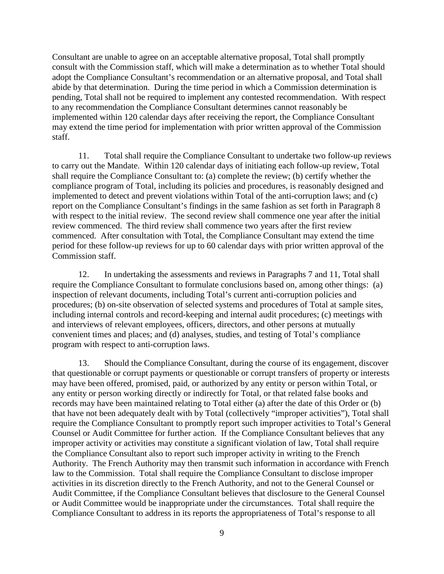Consultant are unable to agree on an acceptable alternative proposal, Total shall promptly consult with the Commission staff, which will make a determination as to whether Total should adopt the Compliance Consultant's recommendation or an alternative proposal, and Total shall abide by that determination. During the time period in which a Commission determination is pending, Total shall not be required to implement any contested recommendation. With respect to any recommendation the Compliance Consultant determines cannot reasonably be implemented within 120 calendar days after receiving the report, the Compliance Consultant may extend the time period for implementation with prior written approval of the Commission staff.

11. Total shall require the Compliance Consultant to undertake two follow-up reviews to carry out the Mandate. Within 120 calendar days of initiating each follow-up review, Total shall require the Compliance Consultant to: (a) complete the review; (b) certify whether the compliance program of Total, including its policies and procedures, is reasonably designed and implemented to detect and prevent violations within Total of the anti-corruption laws; and (c) report on the Compliance Consultant's findings in the same fashion as set forth in Paragraph 8 with respect to the initial review. The second review shall commence one year after the initial review commenced. The third review shall commence two years after the first review commenced. After consultation with Total, the Compliance Consultant may extend the time period for these follow-up reviews for up to 60 calendar days with prior written approval of the Commission staff.

12. In undertaking the assessments and reviews in Paragraphs 7 and 11, Total shall require the Compliance Consultant to formulate conclusions based on, among other things: (a) inspection of relevant documents, including Total's current anti-corruption policies and procedures; (b) on-site observation of selected systems and procedures of Total at sample sites, including internal controls and record-keeping and internal audit procedures; (c) meetings with and interviews of relevant employees, officers, directors, and other persons at mutually convenient times and places; and (d) analyses, studies, and testing of Total's compliance program with respect to anti-corruption laws.

13. Should the Compliance Consultant, during the course of its engagement, discover that questionable or corrupt payments or questionable or corrupt transfers of property or interests may have been offered, promised, paid, or authorized by any entity or person within Total, or any entity or person working directly or indirectly for Total, or that related false books and records may have been maintained relating to Total either (a) after the date of this Order or (b) that have not been adequately dealt with by Total (collectively "improper activities"), Total shall require the Compliance Consultant to promptly report such improper activities to Total's General Counsel or Audit Committee for further action. If the Compliance Consultant believes that any improper activity or activities may constitute a significant violation of law, Total shall require the Compliance Consultant also to report such improper activity in writing to the French Authority. The French Authority may then transmit such information in accordance with French law to the Commission. Total shall require the Compliance Consultant to disclose improper activities in its discretion directly to the French Authority, and not to the General Counsel or Audit Committee, if the Compliance Consultant believes that disclosure to the General Counsel or Audit Committee would be inappropriate under the circumstances. Total shall require the Compliance Consultant to address in its reports the appropriateness of Total's response to all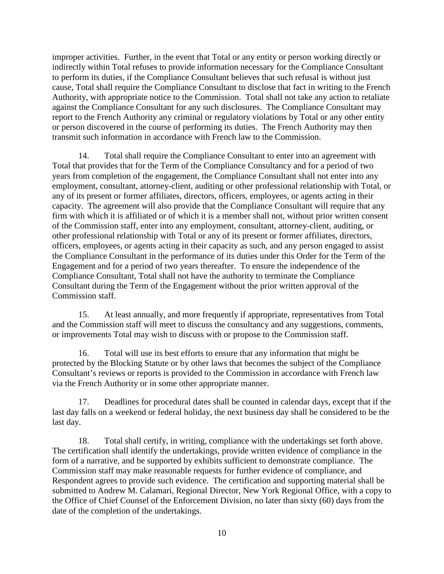improper activities. Further, in the event that Total or any entity or person working directly or indirectly within Total refuses to provide information necessary for the Compliance Consultant to perform its duties, if the Compliance Consultant believes that such refusal is without just cause, Total shall require the Compliance Consultant to disclose that fact in writing to the French Authority, with appropriate notice to the Commission. Total shall not take any action to retaliate against the Compliance Consultant for any such disclosures. The Compliance Consultant may report to the French Authority any criminal or regulatory violations by Total or any other entity or person discovered in the course of performing its duties. The French Authority may then transmit such information in accordance with French law to the Commission.

14. Total shall require the Compliance Consultant to enter into an agreement with Total that provides that for the Term of the Compliance Consultancy and for a period of two years from completion of the engagement, the Compliance Consultant shall not enter into any employment, consultant, attorney-client, auditing or other professional relationship with Total, or any of its present or former affiliates, directors, officers, employees, or agents acting in their capacity. The agreement will also provide that the Compliance Consultant will require that any firm with which it is affiliated or of which it is a member shall not, without prior written consent of the Commission staff, enter into any employment, consultant, attorney-client, auditing, or other professional relationship with Total or any of its present or former affiliates, directors, officers, employees, or agents acting in their capacity as such, and any person engaged to assist the Compliance Consultant in the performance of its duties under this Order for the Term of the Engagement and for a period of two years thereafter. To ensure the independence of the Compliance Consultant, Total shall not have the authority to terminate the Compliance Consultant during the Term of the Engagement without the prior written approval of the Commission staff.

15. At least annually, and more frequently if appropriate, representatives from Total and the Commission staff will meet to discuss the consultancy and any suggestions, comments, or improvements Total may wish to discuss with or propose to the Commission staff.

16. Total will use its best efforts to ensure that any information that might be protected by the Blocking Statute or by other laws that becomes the subject of the Compliance Consultant's reviews or reports is provided to the Commission in accordance with French law via the French Authority or in some other appropriate manner.

17. Deadlines for procedural dates shall be counted in calendar days, except that if the last day falls on a weekend or federal holiday, the next business day shall be considered to be the last day.

18. Total shall certify, in writing, compliance with the undertakings set forth above. The certification shall identify the undertakings, provide written evidence of compliance in the form of a narrative, and be supported by exhibits sufficient to demonstrate compliance. The Commission staff may make reasonable requests for further evidence of compliance, and Respondent agrees to provide such evidence. The certification and supporting material shall be submitted to Andrew M. Calamari, Regional Director, New York Regional Office, with a copy to the Office of Chief Counsel of the Enforcement Division, no later than sixty (60) days from the date of the completion of the undertakings.